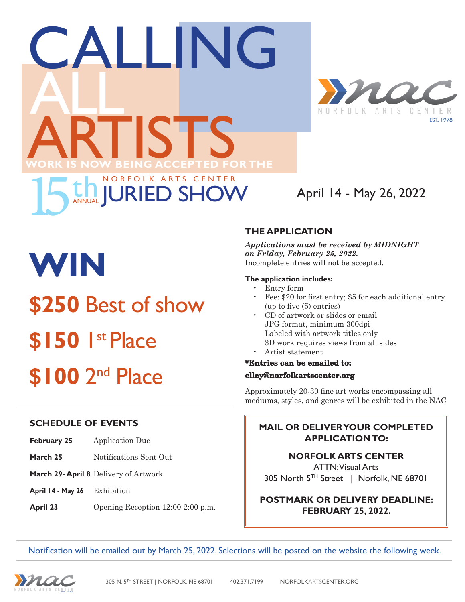



### April 14 - May 26, 2022

# **WIN \$250** Best of show **\$150** 1st Place **\$100** 2nd Place

#### **THE APPLICATION**

*Applications must be received by MIDNIGHT on Friday, February 25, 2022.*  Incomplete entries will not be accepted.

#### **The application includes:**

- • Entry form
- • Fee: \$20 for first entry; \$5 for each additional entry (up to five (5) entries)
- CD of artwork or slides or email JPG format, minimum 300dpi Labeled with artwork titles only 3D work requires views from all sides
- Artist statement

#### **\*Entries can be emailed to:**

#### **elley@norfolkartscenter.org**

Approximately 20-30 fine art works encompassing all mediums, styles, and genres will be exhibited in the NAC

#### **MAIL OR DELIVER YOUR COMPLETED APPLICATION TO:**

**NORFOLK ARTS CENTER**  ATTN: Visual Arts 305 North 5TH Street | Norfolk, NE 68701

**POSTMARK OR DELIVERY DEADLINE: FEBRUARY 25, 2022.** 

**SCHEDULE OF EVENTS**

- **February 25** Application Due
- **March 25** Notifications Sent Out
- **March 29- April 8** Delivery of Artwork
- **April 14 May 26** Exhibition
- **April 23** Opening Reception 12:00-2:00 p.m.

Notification will be emailed out by March 25, 2022. Selections will be posted on the website the following week.

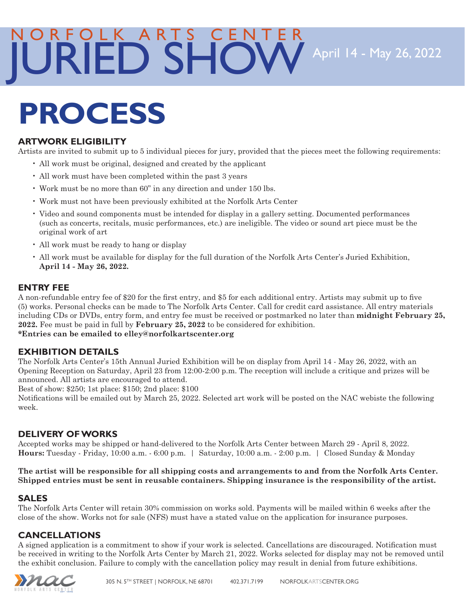### April 14 - May 26, 2022 NORFOLK ARTS CENTER JURIED SHOW

## **PROCESS**

#### **ARTWORK ELIGIBILITY**

Artists are invited to submit up to 5 individual pieces for jury, provided that the pieces meet the following requirements:

- • All work must be original, designed and created by the applicant
- All work must have been completed within the past 3 years
- • Work must be no more than 60" in any direction and under 150 lbs.
- • Work must not have been previously exhibited at the Norfolk Arts Center
- • Video and sound components must be intended for display in a gallery setting. Documented performances (such as concerts, recitals, music performances, etc.) are ineligible. The video or sound art piece must be the original work of art
- All work must be ready to hang or display
- • All work must be available for display for the full duration of the Norfolk Arts Center's Juried Exhibition, **April 14 - May 26, 2022.**

#### **ENTRY FEE**

A non-refundable entry fee of \$20 for the first entry, and \$5 for each additional entry. Artists may submit up to five (5) works. Personal checks can be made to The Norfolk Arts Center. Call for credit card assistance. All entry materials including CDs or DVDs, entry form, and entry fee must be received or postmarked no later than **midnight February 25, 2022.** Fee must be paid in full by **February 25, 2022** to be considered for exhibition. **\*Entries can be emailed to elley@norfolkartscenter.org**

#### **EXHIBITION DETAILS**

The Norfolk Arts Center's 15th Annual Juried Exhibition will be on display from April 14 - May 26, 2022, with an Opening Reception on Saturday, April 23 from 12:00-2:00 p.m. The reception will include a critique and prizes will be announced. All artists are encouraged to attend.

Best of show: \$250; 1st place: \$150; 2nd place: \$100

Notifications will be emailed out by March 25, 2022. Selected art work will be posted on the NAC webiste the following week.

#### **DELIVERY OF WORKS**

Accepted works may be shipped or hand-delivered to the Norfolk Arts Center between March 29 - April 8, 2022. **Hours:** Tuesday - Friday, 10:00 a.m. - 6:00 p.m. | Saturday, 10:00 a.m. - 2:00 p.m. | Closed Sunday & Monday

**The artist will be responsible for all shipping costs and arrangements to and from the Norfolk Arts Center. Shipped entries must be sent in reusable containers. Shipping insurance is the responsibility of the artist.** 

#### **SALES**

The Norfolk Arts Center will retain 30% commission on works sold. Payments will be mailed within 6 weeks after the close of the show. Works not for sale (NFS) must have a stated value on the application for insurance purposes.

#### **CANCELLATIONS**

A signed application is a commitment to show if your work is selected. Cancellations are discouraged. Notification must be received in writing to the Norfolk Arts Center by March 21, 2022. Works selected for display may not be removed until the exhibit conclusion. Failure to comply with the cancellation policy may result in denial from future exhibitions.

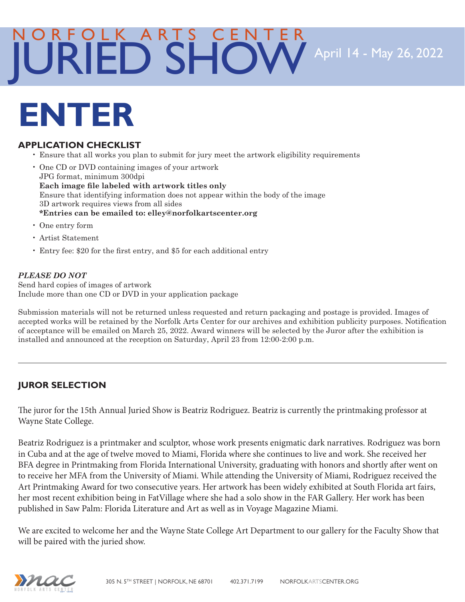### NORFOLK ARTS CENTER JURIED SHOW

April 14 - May 26, 2022

## **ENTER**

#### **APPLICATION CHECKLIST**

- • Ensure that all works you plan to submit for jury meet the artwork eligibility requirements
- • One CD or DVD containing images of your artwork JPG format, minimum 300dpi **Each image file labeled with artwork titles only**  Ensure that identifying information does not appear within the body of the image 3D artwork requires views from all sides **\*Entries can be emailed to: elley@norfolkartscenter.org**
- • One entry form
- • Artist Statement
- • Entry fee: \$20 for the first entry, and \$5 for each additional entry

#### *PLEASE DO NOT*

Send hard copies of images of artwork Include more than one CD or DVD in your application package

Submission materials will not be returned unless requested and return packaging and postage is provided. Images of accepted works will be retained by the Norfolk Arts Center for our archives and exhibition publicity purposes. Notification of acceptance will be emailed on March 25, 2022. Award winners will be selected by the Juror after the exhibition is installed and announced at the reception on Saturday, April 23 from 12:00-2:00 p.m.

#### **JUROR SELECTION**

The juror for the 15th Annual Juried Show is Beatriz Rodriguez. Beatriz is currently the printmaking professor at Wayne State College.

Beatriz Rodriguez is a printmaker and sculptor, whose work presents enigmatic dark narratives. Rodriguez was born in Cuba and at the age of twelve moved to Miami, Florida where she continues to live and work. She received her BFA degree in Printmaking from Florida International University, graduating with honors and shortly after went on to receive her MFA from the University of Miami. While attending the University of Miami, Rodriguez received the Art Printmaking Award for two consecutive years. Her artwork has been widely exhibited at South Florida art fairs, her most recent exhibition being in FatVillage where she had a solo show in the FAR Gallery. Her work has been published in Saw Palm: Florida Literature and Art as well as in Voyage Magazine Miami.

We are excited to welcome her and the Wayne State College Art Department to our gallery for the Faculty Show that will be paired with the juried show.